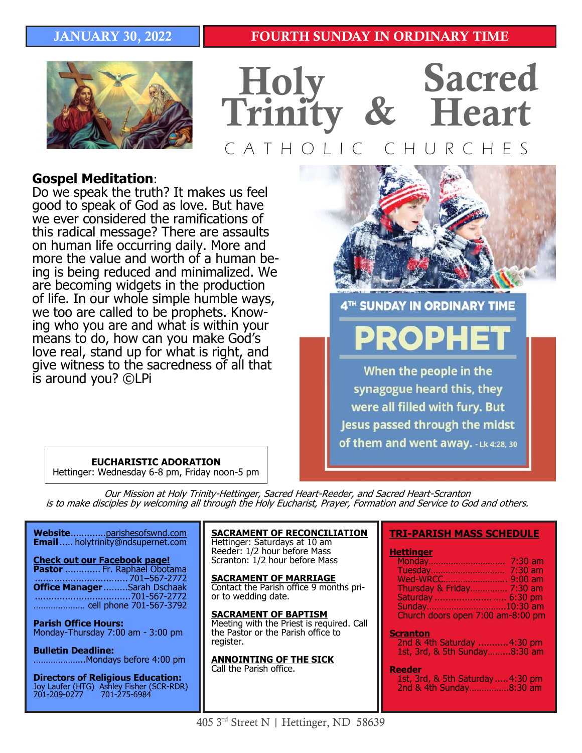# JANUARY 30, 2022

# FOURTH SUNDAY IN ORDINARY TIME





# **Gospel Meditation**:

Do we speak the truth? It makes us feel good to speak of God as love. But have we ever considered the ramifications of this radical message? There are assaults on human life occurring daily. More and more the value and worth of a human being is being reduced and minimalized. We are becoming widgets in the production of life. In our whole simple humble ways, we too are called to be prophets. Knowing who you are and what is within your means to do, how can you make God's love real, stand up for what is right, and give witness to the sacredness of all that is around you? ©LPi



4TH SUNDAY IN ORDINARY TIME

When the people in the synagogue heard this, they were all filled with fury. But Jesus passed through the midst of them and went away. -Lk 4:28, 30

### **EUCHARISTIC ADORATION**

Hettinger: Wednesday 6-8 pm, Friday noon-5 pm

Our Mission at Holy Trinity-Hettinger, Sacred Heart-Reeder, and Sacred Heart-Scranton is to make disciples by welcoming all through the Holy Eucharist, Prayer, Formation and Service to God and others.

**Website**.............parishesofswnd.com **Email**..... holytrinity@ndsupernet.com

**Check out our Facebook page! Pastor** ............. Fr. Raphael Obotama .................................. 701–567-2772 **Office Manager** .........Sarah Dschaak ...................................701-567-2772 ………………… cell phone 701-567-3792

**Parish Office Hours:**  Monday-Thursday 7:00 am - 3:00 pm

**Bulletin Deadline:**  ………………...Mondays before 4:00 pm

**Directors of Religious Education:**  Joy Laufer (HTG) Ashley Fisher (SCR-RDR) 701-209-0277 701-275-6984

**SACRAMENT OF RECONCILIATION** Hettinger: Saturdays at 10 am Reeder: 1/2 hour before Mass Scranton: 1/2 hour before Mass

**SACRAMENT OF MARRIAGE** Contact the Parish office 9 months prior to wedding date.

**SACRAMENT OF BAPTISM** Meeting with the Priest is required. Call the Pastor or the Parish office to register.

**ANNOINTING OF THE SICK** Call the Parish office.

### **TRI-PARISH MASS SCHEDULE**

### **Hettinger**

| Thursday & Friday 7:30 am         |  |
|-----------------------------------|--|
|                                   |  |
| Sunday10:30 am                    |  |
| Church doors open 7:00 am-8:00 pm |  |

### **Scranton**

2nd & 4th Saturday ...........4:30 pm 1st, 3rd, & 5th Sunday……...8:30 am

#### **Reeder**

1st, 3rd, & 5th Saturday.....4:30 pm 2nd & 4th Sunday…………….8:30 am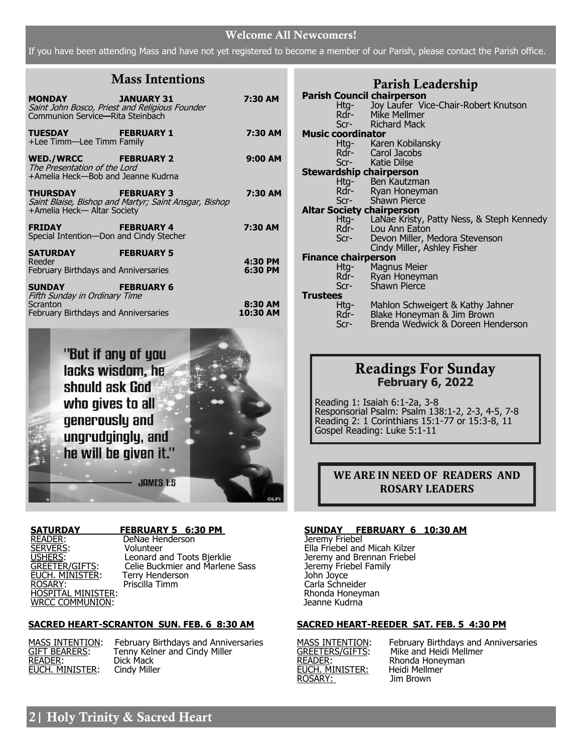### Welcome All Newcomers!

If you have been attending Mass and have not yet registered to become a member of our Parish, please contact the Parish office.

# Mass Intentions

| <b>MONDAY</b><br>Communion Service-Rita Steinbach                                          | <b>Example 14 JANUARY 31</b><br>Saint John Bosco, Priest and Religious Founder | 7:30 AM             |
|--------------------------------------------------------------------------------------------|--------------------------------------------------------------------------------|---------------------|
| <b>TUESDAY And Allege to the State of T</b><br>+Lee Timm-Lee Timm Family                   | <b>FEBRUARY 1</b>                                                              | 7:30 AM             |
| WED./WRCC FEBRUARY 2<br>The Presentation of the Lord<br>+Amelia Heck-Bob and Jeanne Kudrna |                                                                                | 9:00 AM             |
| THURSDAY FEBRUARY 3<br>+Amelia Heck-Altar Society                                          | Saint Blaise, Bishop and Martyr; Saint Ansgar, Bishop                          | 7:30 AM             |
| <b>FRIDAY</b><br>Special Intention-Don and Cindy Stecher                                   | <b>FEBRUARY 4</b>                                                              | 7:30 AM             |
| SATURDAY<br>Reeder                                                                         | <b>FEBRUARY 5</b>                                                              | 4:30 PM             |
| <b>February Birthdays and Anniversaries</b>                                                |                                                                                | 6:30 PM             |
| <b>SUNDAY Example 2014</b><br>Fifth Sunday in Ordinary Time                                | <b>FEBRUARY 6</b>                                                              |                     |
| Scranton<br><b>February Birthdays and Anniversaries</b>                                    |                                                                                | 8:30 AM<br>10:30 AM |



READER: DeNae Henderson<br>SERVERS: Volunteer EUCH. MINISTER: Terry Henders<br>ROSARY: Priscilla Timm WRCC COMMUNION: Jeanne Kudrna

SERVERS: Volunteer Volunteer Ella Friebel and Micah Kilzer<br>TRIERS: Leonard and Toots Bjerklie (Ella Friebel and Brennan Friebel USHERS: Leonard and Toots Bjerklie Jeremy and Brennan Friebel<br>
GREETER/GIFTS: Celie Buckmier and Marlene Sass Jeremy Friebel Family Celie Buckmier and Marlene Sass Jeremy Friebel Family<br>Terry Henderson Terry Friebel Sass John Joyce HOSPITAL MINISTER: Rhonda Honeyman

### **SACRED HEART-SCRANTON SUN. FEB. 6 8:30 AM**

MASS INTENTION: February Bill<br>
<u>GIFT BEARERS</u>: Tenny Kelne<br>
READER: Dick Mack<br>
EUCH. MINISTER: Cindy Miller **EUCH. MINISTER:** 

MASS INTENTION: February Birthdays and Anniversaries GIFT BEARERS: Tenny Kelner and Cindy Miller

|                          | Parish Leadership                                               |  |  |  |
|--------------------------|-----------------------------------------------------------------|--|--|--|
|                          | <b>Parish Council chairperson</b>                               |  |  |  |
|                          | Htg- Joy Laufer Vice-Chair-Robert Knutson                       |  |  |  |
|                          | Rdr- Mike Mellmer                                               |  |  |  |
|                          | Scr- Richard Mack                                               |  |  |  |
| <b>Music coordinator</b> |                                                                 |  |  |  |
|                          | Htg- Karen Kobilansky                                           |  |  |  |
|                          | Rdr- Carol Jacobs                                               |  |  |  |
|                          | Scr- Katie Dilse                                                |  |  |  |
|                          | <b>Stewardship chairperson</b>                                  |  |  |  |
|                          | Htg- Ben Kautzman                                               |  |  |  |
|                          | Rdr- Ryan Honeyman                                              |  |  |  |
|                          | Scr- Shawn Pierce                                               |  |  |  |
|                          | <b>Altar Society chairperson</b>                                |  |  |  |
|                          | Htg- LaNae Kristy, Patty Ness, & Steph Kennedy                  |  |  |  |
|                          | Rdr- Lou Ann Eaton                                              |  |  |  |
|                          | Devon Miller, Medora Stevenson<br>Scr-                          |  |  |  |
|                          | Cindy Miller, Ashley Fisher                                     |  |  |  |
|                          | <b>Finance chairperson</b>                                      |  |  |  |
|                          | Htg- Magnus Meier                                               |  |  |  |
|                          | Rdr- Ryan Honeyman                                              |  |  |  |
|                          | Shawn Pierce<br>$Scr-$                                          |  |  |  |
|                          | <b>Trustees</b>                                                 |  |  |  |
|                          | Htg- Mahlon Schweigert & Kathy Jahner                           |  |  |  |
|                          | Rdr-                                                            |  |  |  |
|                          | Blake Honeyman & Jim Brown<br>Brenda Wedwick & Doreen Henderson |  |  |  |
|                          | Scr-                                                            |  |  |  |
|                          |                                                                 |  |  |  |
|                          |                                                                 |  |  |  |

# Readings For Sunday **February 6, 2022**

Reading 1: Isaiah 6:1-2a, 3-8 Responsorial Psalm: Psalm 138:1-2, 2-3, 4-5, 7-8 Reading 2: 1 Corinthians 15:1-77 or 15:3-8, 11 Gospel Reading: Luke 5:1-11

### **WE ARE IN NEED OF READERS AND ROSARY LEADERS**

# **SATURDAY FEBRUARY 5 6:30 PM SUNDAY FEBRUARY 6 10:30 AM**

Carla Schneider<br>Rhonda Honeyman

### **SACRED HEART-REEDER SAT. FEB. 5 4:30 PM**

**EUCH. MINISTER:** Heidi Melln<br>ROSARY: Jim Brown ROSARY:

MASS INTENTION: February Birthdays and Anniversaries GREETERS/GIFTS: Mike and Heidi Mellmer MASS INTENTION: February Birthdays<br>
GREETERS/GIFTS: Mike and Heidi Mel<br>
READER: Rhonda Honeyman<br>
EUCH. MINISTER: Heidi Mellmer

# 2| Holy Trinity & Sacred Heart